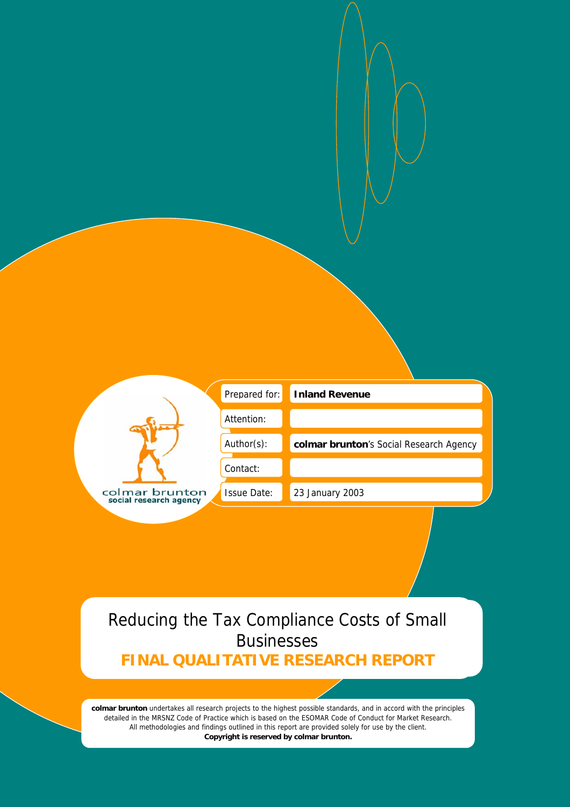|                                          | Prepared for:      | <b>Inland Revenue</b>                   |
|------------------------------------------|--------------------|-----------------------------------------|
|                                          | Attention:         |                                         |
|                                          | Author(s):         | colmar brunton's Social Research Agency |
|                                          | Contact:           |                                         |
| colmar brunton<br>social research agency | <b>Issue Date:</b> | 23 January 2003                         |

# Reducing the Tax Compliance Costs of Small Businesses

**FINAL QUALITATIVE RESEARCH REPORT**

**colmar brunton** undertakes all research projects to the highest possible standards, and in accord with the principles detailed in the MRSNZ Code of Practice which is based on the ESOMAR Code of Conduct for Market Research. All methodologies and findings outlined in this report are provided solely for use by the client. **Copyright is reserved by colmar brunton.**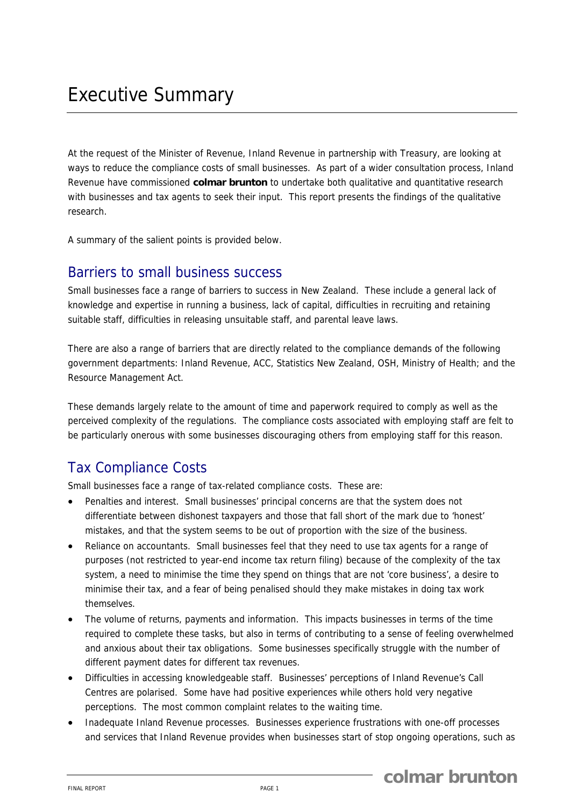At the request of the Minister of Revenue, Inland Revenue in partnership with Treasury, are looking at ways to reduce the compliance costs of small businesses. As part of a wider consultation process, Inland Revenue have commissioned **colmar brunton** to undertake both qualitative and quantitative research with businesses and tax agents to seek their input. This report presents the findings of the qualitative research.

A summary of the salient points is provided below.

## Barriers to small business success

Small businesses face a range of barriers to success in New Zealand. These include a general lack of knowledge and expertise in running a business, lack of capital, difficulties in recruiting and retaining suitable staff, difficulties in releasing unsuitable staff, and parental leave laws.

There are also a range of barriers that are directly related to the compliance demands of the following government departments: Inland Revenue, ACC, Statistics New Zealand, OSH, Ministry of Health; and the Resource Management Act.

These demands largely relate to the amount of time and paperwork required to comply as well as the perceived complexity of the regulations. The compliance costs associated with employing staff are felt to be particularly onerous with some businesses discouraging others from employing staff for this reason.

# Tax Compliance Costs

Small businesses face a range of tax-related compliance costs. These are:

- Penalties and interest. Small businesses' principal concerns are that the system does not differentiate between dishonest taxpayers and those that fall short of the mark due to 'honest' mistakes, and that the system seems to be out of proportion with the size of the business.
- Reliance on accountants. Small businesses feel that they need to use tax agents for a range of purposes (not restricted to year-end income tax return filing) because of the complexity of the tax system, a need to minimise the time they spend on things that are not 'core business', a desire to minimise their tax, and a fear of being penalised should they make mistakes in doing tax work themselves.
- The volume of returns, payments and information. This impacts businesses in terms of the time required to complete these tasks, but also in terms of contributing to a sense of feeling overwhelmed and anxious about their tax obligations. Some businesses specifically struggle with the number of different payment dates for different tax revenues.
- Difficulties in accessing knowledgeable staff. Businesses' perceptions of Inland Revenue's Call Centres are polarised. Some have had positive experiences while others hold very negative perceptions. The most common complaint relates to the waiting time.
- Inadequate Inland Revenue processes. Businesses experience frustrations with one-off processes and services that Inland Revenue provides when businesses start of stop ongoing operations, such as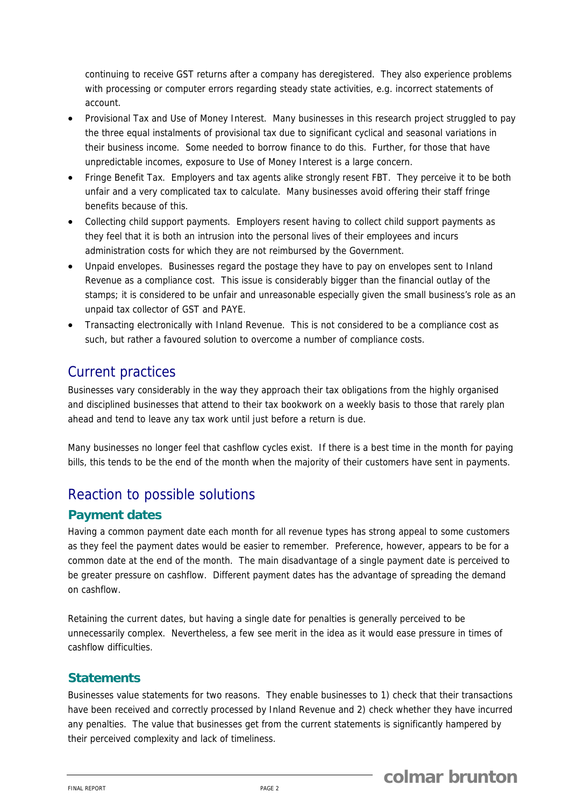continuing to receive GST returns after a company has deregistered. They also experience problems with processing or computer errors regarding steady state activities, e.g. incorrect statements of account.

- Provisional Tax and Use of Money Interest. Many businesses in this research project struggled to pay the three equal instalments of provisional tax due to significant cyclical and seasonal variations in their business income. Some needed to borrow finance to do this. Further, for those that have unpredictable incomes, exposure to Use of Money Interest is a large concern.
- Fringe Benefit Tax. Employers and tax agents alike strongly resent FBT. They perceive it to be both unfair and a very complicated tax to calculate. Many businesses avoid offering their staff fringe benefits because of this.
- Collecting child support payments. Employers resent having to collect child support payments as they feel that it is both an intrusion into the personal lives of their employees and incurs administration costs for which they are not reimbursed by the Government.
- Unpaid envelopes. Businesses regard the postage they have to pay on envelopes sent to Inland Revenue as a compliance cost. This issue is considerably bigger than the financial outlay of the stamps; it is considered to be unfair and unreasonable especially given the small business's role as an unpaid tax collector of GST and PAYE.
- Transacting electronically with Inland Revenue. This is not considered to be a compliance cost as such, but rather a favoured solution to overcome a number of compliance costs.

# Current practices

Businesses vary considerably in the way they approach their tax obligations from the highly organised and disciplined businesses that attend to their tax bookwork on a weekly basis to those that rarely plan ahead and tend to leave any tax work until just before a return is due.

Many businesses no longer feel that cashflow cycles exist. If there is a best time in the month for paying bills, this tends to be the end of the month when the majority of their customers have sent in payments.

# Reaction to possible solutions

## **Payment dates**

Having a common payment date each month for all revenue types has strong appeal to some customers as they feel the payment dates would be easier to remember. Preference, however, appears to be for a common date at the end of the month. The main disadvantage of a single payment date is perceived to be greater pressure on cashflow. Different payment dates has the advantage of spreading the demand on cashflow.

Retaining the current dates, but having a single date for penalties is generally perceived to be unnecessarily complex. Nevertheless, a few see merit in the idea as it would ease pressure in times of cashflow difficulties.

## **Statements**

Businesses value statements for two reasons. They enable businesses to 1) check that their transactions have been received and correctly processed by Inland Revenue and 2) check whether they have incurred any penalties. The value that businesses get from the current statements is significantly hampered by their perceived complexity and lack of timeliness.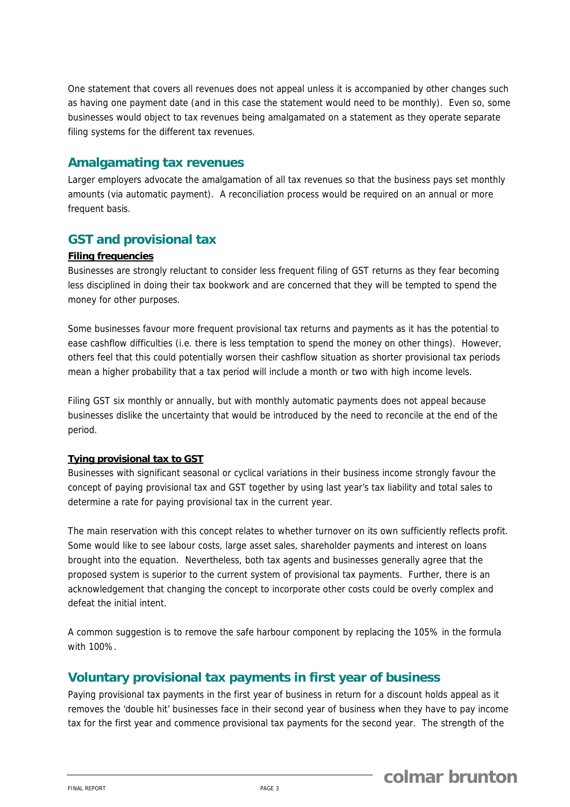One statement that covers all revenues does not appeal unless it is accompanied by other changes such as having one payment date (and in this case the statement would need to be monthly). Even so, some businesses would object to tax revenues being amalgamated on a statement as they operate separate filing systems for the different tax revenues.

### **Amalgamating tax revenues**

Larger employers advocate the amalgamation of all tax revenues so that the business pays set monthly amounts (via automatic payment). A reconciliation process would be required on an annual or more frequent basis.

## **GST and provisional tax**

#### **Filing frequencies**

Businesses are strongly reluctant to consider less frequent filing of GST returns as they fear becoming less disciplined in doing their tax bookwork and are concerned that they will be tempted to spend the money for other purposes.

Some businesses favour more frequent provisional tax returns and payments as it has the potential to ease cashflow difficulties (i.e. there is less temptation to spend the money on other things). However, others feel that this could potentially worsen their cashflow situation as shorter provisional tax periods mean a higher probability that a tax period will include a month or two with high income levels.

Filing GST six monthly or annually, but with monthly automatic payments does not appeal because businesses dislike the uncertainty that would be introduced by the need to reconcile at the end of the period.

#### **Tying provisional tax to GST**

Businesses with significant seasonal or cyclical variations in their business income strongly favour the concept of paying provisional tax and GST together by using last year's tax liability and total sales to determine a rate for paying provisional tax in the current year.

The main reservation with this concept relates to whether turnover on its own sufficiently reflects profit. Some would like to see labour costs, large asset sales, shareholder payments and interest on loans brought into the equation. Nevertheless, both tax agents and businesses generally agree that the proposed system is superior to the current system of provisional tax payments. Further, there is an acknowledgement that changing the concept to incorporate other costs could be overly complex and defeat the initial intent.

A common suggestion is to remove the safe harbour component by replacing the 105% in the formula with 100%.

### **Voluntary provisional tax payments in first year of business**

Paying provisional tax payments in the first year of business in return for a discount holds appeal as it removes the 'double hit' businesses face in their second year of business when they have to pay income tax for the first year and commence provisional tax payments for the second year. The strength of the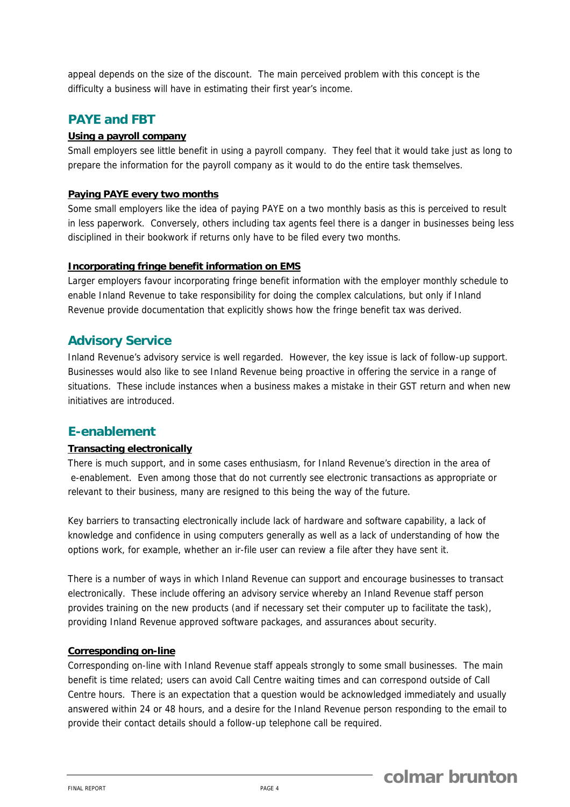appeal depends on the size of the discount. The main perceived problem with this concept is the difficulty a business will have in estimating their first year's income.

## **PAYE and FBT**

#### **Using a payroll company**

Small employers see little benefit in using a payroll company. They feel that it would take just as long to prepare the information for the payroll company as it would to do the entire task themselves.

#### **Paying PAYE every two months**

Some small employers like the idea of paying PAYE on a two monthly basis as this is perceived to result in less paperwork. Conversely, others including tax agents feel there is a danger in businesses being less disciplined in their bookwork if returns only have to be filed every two months.

#### **Incorporating fringe benefit information on EMS**

Larger employers favour incorporating fringe benefit information with the employer monthly schedule to enable Inland Revenue to take responsibility for doing the complex calculations, but only if Inland Revenue provide documentation that explicitly shows how the fringe benefit tax was derived.

## **Advisory Service**

Inland Revenue's advisory service is well regarded. However, the key issue is lack of follow-up support. Businesses would also like to see Inland Revenue being proactive in offering the service in a range of situations. These include instances when a business makes a mistake in their GST return and when new initiatives are introduced.

### **E-enablement**

#### **Transacting electronically**

There is much support, and in some cases enthusiasm, for Inland Revenue's direction in the area of e-enablement. Even among those that do not currently see electronic transactions as appropriate or relevant to their business, many are resigned to this being the way of the future.

Key barriers to transacting electronically include lack of hardware and software capability, a lack of knowledge and confidence in using computers generally as well as a lack of understanding of how the options work, for example, whether an ir-file user can review a file after they have sent it.

There is a number of ways in which Inland Revenue can support and encourage businesses to transact electronically. These include offering an advisory service whereby an Inland Revenue staff person provides training on the new products (and if necessary set their computer up to facilitate the task), providing Inland Revenue approved software packages, and assurances about security.

#### **Corresponding on-line**

Corresponding on-line with Inland Revenue staff appeals strongly to some small businesses. The main benefit is time related; users can avoid Call Centre waiting times and can correspond outside of Call Centre hours. There is an expectation that a question would be acknowledged immediately and usually answered within 24 or 48 hours, and a desire for the Inland Revenue person responding to the email to provide their contact details should a follow-up telephone call be required.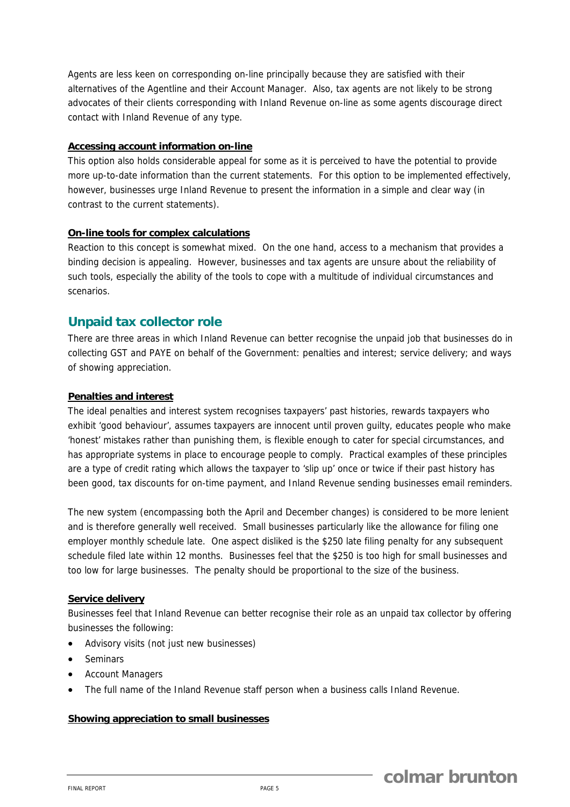Agents are less keen on corresponding on-line principally because they are satisfied with their alternatives of the Agentline and their Account Manager. Also, tax agents are not likely to be strong advocates of their clients corresponding with Inland Revenue on-line as some agents discourage direct contact with Inland Revenue of any type.

#### **Accessing account information on-line**

This option also holds considerable appeal for some as it is perceived to have the potential to provide more up-to-date information than the current statements. For this option to be implemented effectively, however, businesses urge Inland Revenue to present the information in a simple and clear way (in contrast to the current statements).

#### **On-line tools for complex calculations**

Reaction to this concept is somewhat mixed. On the one hand, access to a mechanism that provides a binding decision is appealing. However, businesses and tax agents are unsure about the reliability of such tools, especially the ability of the tools to cope with a multitude of individual circumstances and scenarios.

### **Unpaid tax collector role**

There are three areas in which Inland Revenue can better recognise the unpaid job that businesses do in collecting GST and PAYE on behalf of the Government: penalties and interest; service delivery; and ways of showing appreciation.

#### **Penalties and interest**

The ideal penalties and interest system recognises taxpayers' past histories, rewards taxpayers who exhibit 'good behaviour', assumes taxpayers are innocent until proven guilty, educates people who make 'honest' mistakes rather than punishing them, is flexible enough to cater for special circumstances, and has appropriate systems in place to encourage people to comply. Practical examples of these principles are a type of credit rating which allows the taxpayer to 'slip up' once or twice if their past history has been good, tax discounts for on-time payment, and Inland Revenue sending businesses email reminders.

The new system (encompassing both the April and December changes) is considered to be more lenient and is therefore generally well received. Small businesses particularly like the allowance for filing one employer monthly schedule late. One aspect disliked is the \$250 late filing penalty for any subsequent schedule filed late within 12 months. Businesses feel that the \$250 is too high for small businesses and too low for large businesses. The penalty should be proportional to the size of the business.

#### **Service delivery**

Businesses feel that Inland Revenue can better recognise their role as an unpaid tax collector by offering businesses the following:

- Advisory visits (not just new businesses)
- **Seminars**
- Account Managers
- The full name of the Inland Revenue staff person when a business calls Inland Revenue.

#### **Showing appreciation to small businesses**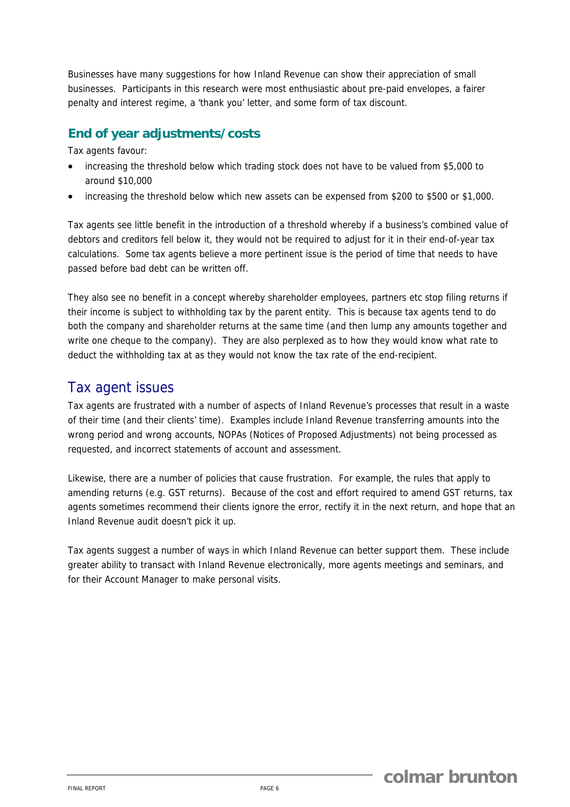Businesses have many suggestions for how Inland Revenue can show their appreciation of small businesses. Participants in this research were most enthusiastic about pre-paid envelopes, a fairer penalty and interest regime, a 'thank you' letter, and some form of tax discount.

## **End of year adjustments/costs**

Tax agents favour:

- increasing the threshold below which trading stock does not have to be valued from \$5,000 to around \$10,000
- increasing the threshold below which new assets can be expensed from \$200 to \$500 or \$1,000.

Tax agents see little benefit in the introduction of a threshold whereby if a business's combined value of debtors and creditors fell below it, they would not be required to adjust for it in their end-of-year tax calculations. Some tax agents believe a more pertinent issue is the period of time that needs to have passed before bad debt can be written off.

They also see no benefit in a concept whereby shareholder employees, partners etc stop filing returns if their income is subject to withholding tax by the parent entity. This is because tax agents tend to do both the company and shareholder returns at the same time (and then lump any amounts together and write one cheque to the company). They are also perplexed as to how they would know what rate to deduct the withholding tax at as they would not know the tax rate of the end-recipient.

# Tax agent issues

Tax agents are frustrated with a number of aspects of Inland Revenue's processes that result in a waste of their time (and their clients' time). Examples include Inland Revenue transferring amounts into the wrong period and wrong accounts, NOPAs (Notices of Proposed Adjustments) not being processed as requested, and incorrect statements of account and assessment.

Likewise, there are a number of policies that cause frustration. For example, the rules that apply to amending returns (e.g. GST returns). Because of the cost and effort required to amend GST returns, tax agents sometimes recommend their clients ignore the error, rectify it in the next return, and hope that an Inland Revenue audit doesn't pick it up.

Tax agents suggest a number of ways in which Inland Revenue can better support them. These include greater ability to transact with Inland Revenue electronically, more agents meetings and seminars, and for their Account Manager to make personal visits.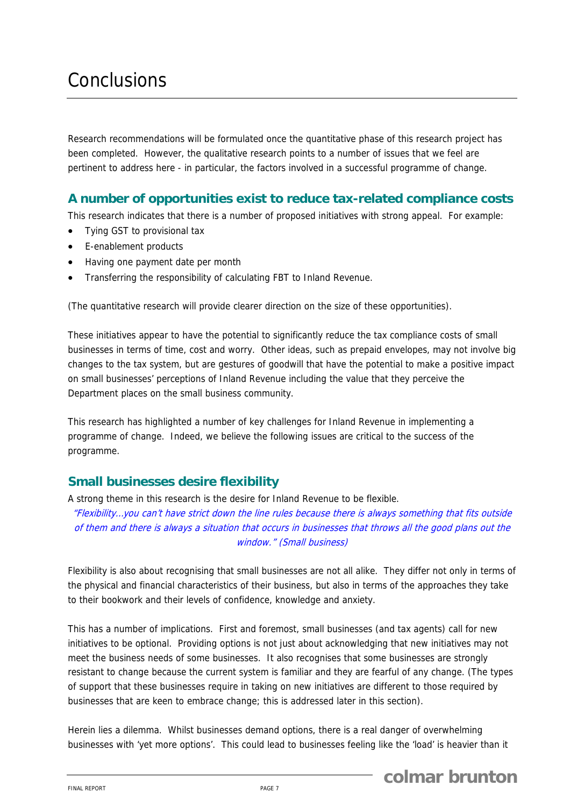# **Conclusions**

Research recommendations will be formulated once the quantitative phase of this research project has been completed. However, the qualitative research points to a number of issues that we feel are pertinent to address here - in particular, the factors involved in a successful programme of change.

## **A number of opportunities exist to reduce tax-related compliance costs**

This research indicates that there is a number of proposed initiatives with strong appeal. For example:

- Tying GST to provisional tax
- E-enablement products
- Having one payment date per month
- Transferring the responsibility of calculating FBT to Inland Revenue.

(The quantitative research will provide clearer direction on the size of these opportunities).

These initiatives appear to have the potential to significantly reduce the tax compliance costs of small businesses in terms of time, cost and worry. Other ideas, such as prepaid envelopes, may not involve big changes to the tax system, but are gestures of goodwill that have the potential to make a positive impact on small businesses' perceptions of Inland Revenue including the value that they perceive the Department places on the small business community.

This research has highlighted a number of key challenges for Inland Revenue in implementing a programme of change. Indeed, we believe the following issues are critical to the success of the programme.

### **Small businesses desire flexibility**

A strong theme in this research is the desire for Inland Revenue to be flexible.

"Flexibility…you can't have strict down the line rules because there is always something that fits outside of them and there is always a situation that occurs in businesses that throws all the good plans out the window." (Small business)

Flexibility is also about recognising that small businesses are not all alike. They differ not only in terms of the physical and financial characteristics of their business, but also in terms of the approaches they take to their bookwork and their levels of confidence, knowledge and anxiety.

This has a number of implications. First and foremost, small businesses (and tax agents) call for new initiatives to be optional. Providing options is not just about acknowledging that new initiatives may not meet the business needs of some businesses. It also recognises that some businesses are strongly resistant to change because the current system is familiar and they are fearful of any change. (The types of support that these businesses require in taking on new initiatives are different to those required by businesses that are keen to embrace change; this is addressed later in this section).

Herein lies a dilemma. Whilst businesses demand options, there is a real danger of overwhelming businesses with 'yet more options'. This could lead to businesses feeling like the 'load' is heavier than it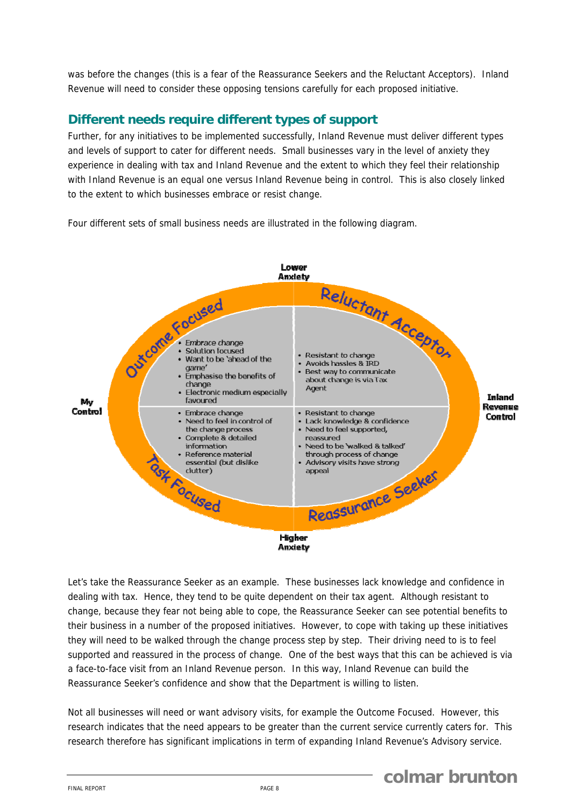was before the changes (this is a fear of the Reassurance Seekers and the Reluctant Acceptors). Inland Revenue will need to consider these opposing tensions carefully for each proposed initiative.

## **Different needs require different types of support**

Further, for any initiatives to be implemented successfully, Inland Revenue must deliver different types and levels of support to cater for different needs. Small businesses vary in the level of anxiety they experience in dealing with tax and Inland Revenue and the extent to which they feel their relationship with Inland Revenue is an equal one versus Inland Revenue being in control. This is also closely linked to the extent to which businesses embrace or resist change.

Four different sets of small business needs are illustrated in the following diagram.



Let's take the Reassurance Seeker as an example. These businesses lack knowledge and confidence in dealing with tax. Hence, they tend to be quite dependent on their tax agent. Although resistant to change, because they fear not being able to cope, the Reassurance Seeker can see potential benefits to their business in a number of the proposed initiatives. However, to cope with taking up these initiatives they will need to be walked through the change process step by step. Their driving need to is to feel supported and reassured in the process of change. One of the best ways that this can be achieved is via a face-to-face visit from an Inland Revenue person. In this way, Inland Revenue can build the Reassurance Seeker's confidence and show that the Department is willing to listen.

Not all businesses will need or want advisory visits, for example the Outcome Focused. However, this research indicates that the need appears to be greater than the current service currently caters for. This research therefore has significant implications in term of expanding Inland Revenue's Advisory service.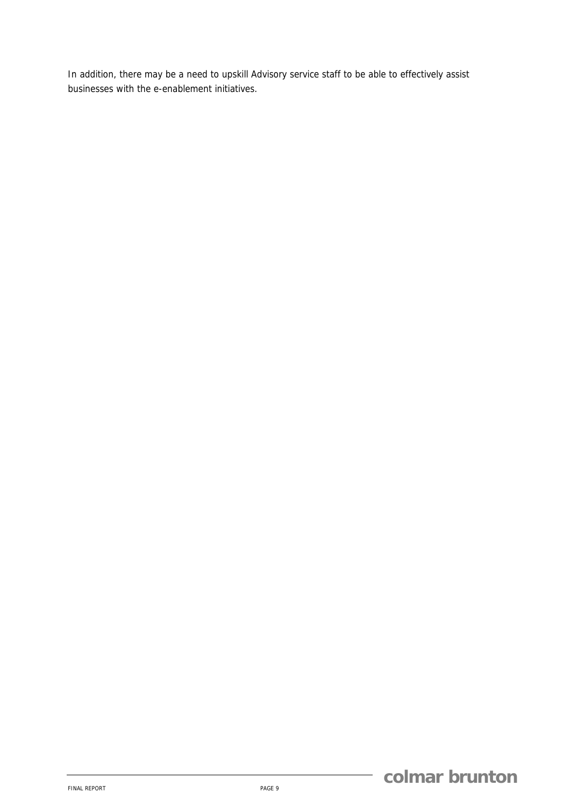In addition, there may be a need to upskill Advisory service staff to be able to effectively assist businesses with the e-enablement initiatives.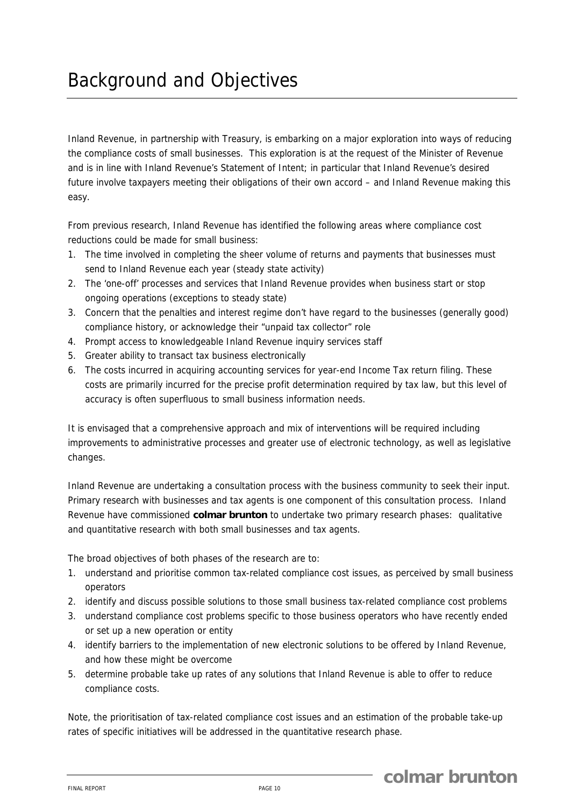# Background and Objectives

Inland Revenue, in partnership with Treasury, is embarking on a major exploration into ways of reducing the compliance costs of small businesses. This exploration is at the request of the Minister of Revenue and is in line with Inland Revenue's Statement of Intent; in particular that Inland Revenue's desired future involve taxpayers meeting their obligations of their own accord – and Inland Revenue making this easy.

From previous research, Inland Revenue has identified the following areas where compliance cost reductions could be made for small business:

- 1. The time involved in completing the sheer volume of returns and payments that businesses must send to Inland Revenue each year (steady state activity)
- 2. The 'one-off' processes and services that Inland Revenue provides when business start or stop ongoing operations (exceptions to steady state)
- 3. Concern that the penalties and interest regime don't have regard to the businesses (generally good) compliance history, or acknowledge their "unpaid tax collector" role
- 4. Prompt access to knowledgeable Inland Revenue inquiry services staff
- 5. Greater ability to transact tax business electronically
- 6. The costs incurred in acquiring accounting services for year-end Income Tax return filing. These costs are primarily incurred for the precise profit determination required by tax law, but this level of accuracy is often superfluous to small business information needs.

It is envisaged that a comprehensive approach and mix of interventions will be required including improvements to administrative processes and greater use of electronic technology, as well as legislative changes.

Inland Revenue are undertaking a consultation process with the business community to seek their input. Primary research with businesses and tax agents is one component of this consultation process. Inland Revenue have commissioned **colmar brunton** to undertake two primary research phases: qualitative and quantitative research with both small businesses and tax agents.

The broad objectives of both phases of the research are to:

- 1. understand and prioritise common tax-related compliance cost issues, as perceived by small business operators
- 2. identify and discuss possible solutions to those small business tax-related compliance cost problems
- 3. understand compliance cost problems specific to those business operators who have recently ended or set up a new operation or entity
- 4. identify barriers to the implementation of new electronic solutions to be offered by Inland Revenue, and how these might be overcome
- 5. determine probable take up rates of any solutions that Inland Revenue is able to offer to reduce compliance costs.

Note, the prioritisation of tax-related compliance cost issues and an estimation of the probable take-up rates of specific initiatives will be addressed in the quantitative research phase.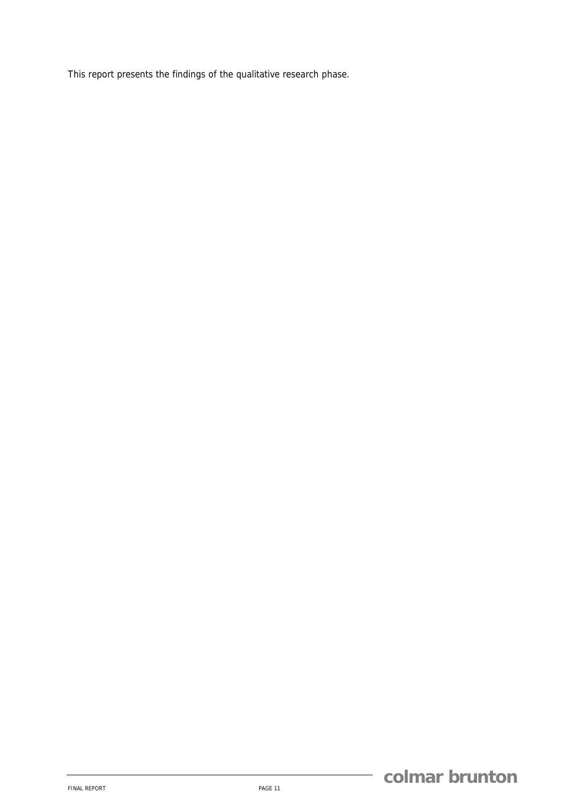This report presents the findings of the qualitative research phase.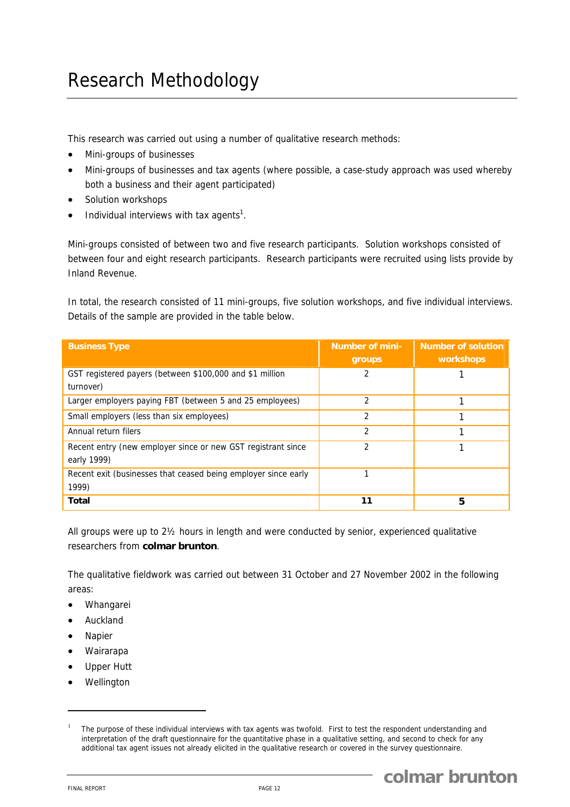# Research Methodology

This research was carried out using a number of qualitative research methods:

- Mini-groups of businesses
- Mini-groups of businesses and tax agents (where possible, a case-study approach was used whereby both a business and their agent participated)
- Solution workshops
- $\bullet$  Individual interviews with tax agents<sup>1</sup>.

Mini-groups consisted of between two and five research participants. Solution workshops consisted of between four and eight research participants. Research participants were recruited using lists provide by Inland Revenue.

In total, the research consisted of 11 mini-groups, five solution workshops, and five individual interviews. Details of the sample are provided in the table below.

| <b>Business Type</b>                                                        | <b>Number of mini-</b><br><b>groups</b> | <b>Number of solution</b><br><b>workshops</b> |
|-----------------------------------------------------------------------------|-----------------------------------------|-----------------------------------------------|
| GST registered payers (between \$100,000 and \$1 million<br>turnover)       |                                         |                                               |
| Larger employers paying FBT (between 5 and 25 employees)                    | $\mathcal{P}$                           |                                               |
| Small employers (less than six employees)                                   | 2                                       |                                               |
| Annual return filers                                                        | $\mathfrak{p}$                          |                                               |
| Recent entry (new employer since or new GST registrant since<br>early 1999) | $\mathfrak{D}$                          |                                               |
| Recent exit (businesses that ceased being employer since early<br>1999)     | 1                                       |                                               |
| Total                                                                       | 11                                      | 5                                             |

All groups were up to 2½ hours in length and were conducted by senior, experienced qualitative researchers from **colmar brunton**.

The qualitative fieldwork was carried out between 31 October and 27 November 2002 in the following areas:

- Whangarei
- Auckland
- **Napier**
- Wairarapa
- Upper Hutt
- **Wellington**

<sup>1</sup> The purpose of these individual interviews with tax agents was twofold. First to test the respondent understanding and interpretation of the draft questionnaire for the quantitative phase in a qualitative setting, and second to check for any additional tax agent issues not already elicited in the qualitative research or covered in the survey questionnaire.